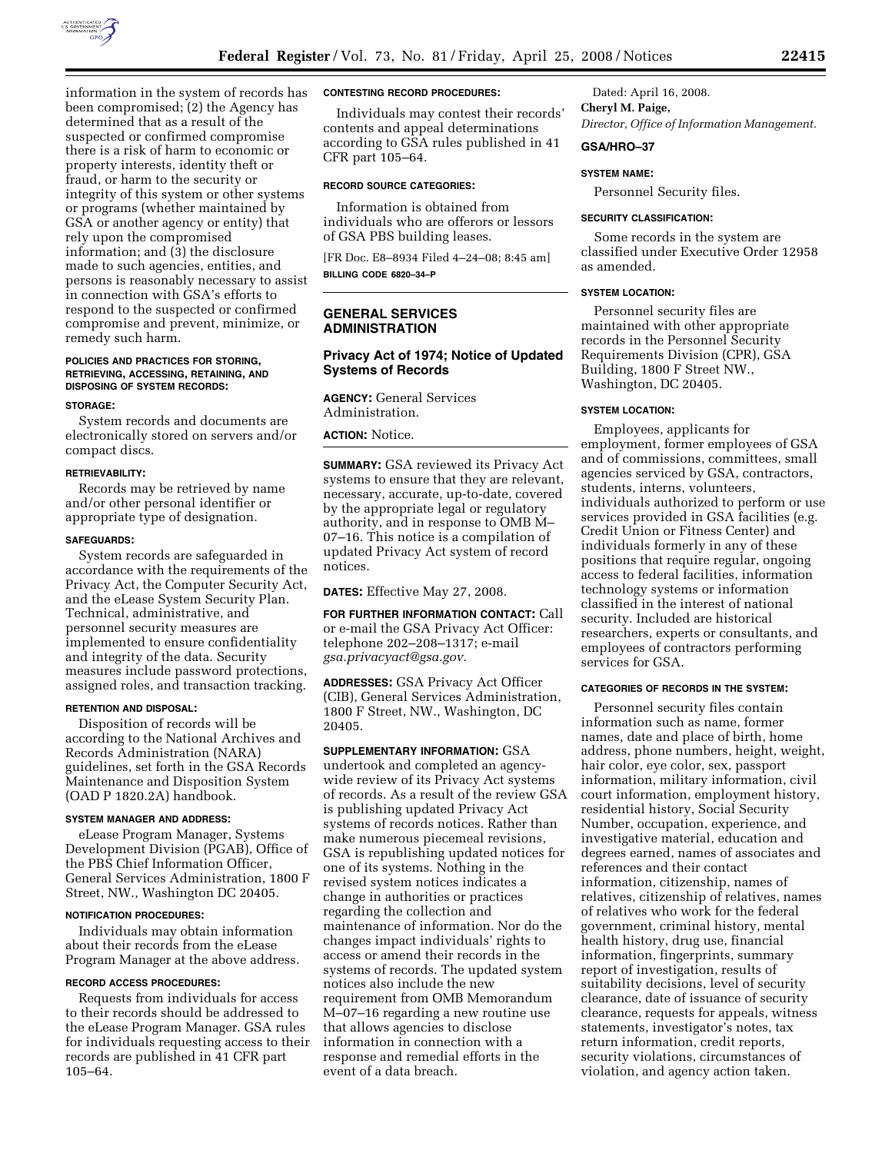

information in the system of records has been compromised; (2) the Agency has determined that as a result of the suspected or confirmed compromise there is a risk of harm to economic or property interests, identity theft or fraud, or harm to the security or integrity of this system or other systems or programs (whether maintained by GSA or another agency or entity) that rely upon the compromised information; and (3) the disclosure made to such agencies, entities, and persons is reasonably necessary to assist in connection with GSA's efforts to respond to the suspected or confirmed compromise and prevent, minimize, or remedy such harm.

#### **POLICIES AND PRACTICES FOR STORING, RETRIEVING, ACCESSING, RETAINING, AND DISPOSING OF SYSTEM RECORDS:**

#### **STORAGE:**

System records and documents are electronically stored on servers and/or compact discs.

### **RETRIEVABILITY:**

Records may be retrieved by name and/or other personal identifier or appropriate type of designation.

#### **SAFEGUARDS:**

System records are safeguarded in accordance with the requirements of the Privacy Act, the Computer Security Act, and the eLease System Security Plan. Technical, administrative, and personnel security measures are implemented to ensure confidentiality and integrity of the data. Security measures include password protections, assigned roles, and transaction tracking.

#### **RETENTION AND DISPOSAL:**

Disposition of records will be according to the National Archives and Records Administration (NARA) guidelines, set forth in the GSA Records Maintenance and Disposition System (OAD P 1820.2A) handbook.

### **SYSTEM MANAGER AND ADDRESS:**

eLease Program Manager, Systems Development Division (PGAB), Office of the PBS Chief Information Officer, General Services Administration, 1800 F Street, NW., Washington DC 20405.

### **NOTIFICATION PROCEDURES:**

Individuals may obtain information about their records from the eLease Program Manager at the above address.

### **RECORD ACCESS PROCEDURES:**

Requests from individuals for access to their records should be addressed to the eLease Program Manager. GSA rules for individuals requesting access to their records are published in 41 CFR part 105–64.

# **CONTESTING RECORD PROCEDURES:**

Individuals may contest their records' contents and appeal determinations according to GSA rules published in 41 CFR part 105–64.

#### **RECORD SOURCE CATEGORIES:**

Information is obtained from individuals who are offerors or lessors of GSA PBS building leases.

[FR Doc. E8–8934 Filed 4–24–08; 8:45 am] **BILLING CODE 6820–34–P** 

# **GENERAL SERVICES ADMINISTRATION**

# **Privacy Act of 1974; Notice of Updated Systems of Records**

**AGENCY:** General Services Administration.

**ACTION:** Notice.

**SUMMARY:** GSA reviewed its Privacy Act systems to ensure that they are relevant, necessary, accurate, up-to-date, covered by the appropriate legal or regulatory authority, and in response to OMB M– 07–16. This notice is a compilation of updated Privacy Act system of record notices.

**DATES:** Effective May 27, 2008.

**FOR FURTHER INFORMATION CONTACT:** Call or e-mail the GSA Privacy Act Officer: telephone 202–208–1317; e-mail *gsa.privacyact@gsa.gov.* 

**ADDRESSES:** GSA Privacy Act Officer (CIB), General Services Administration, 1800 F Street, NW., Washington, DC 20405.

**SUPPLEMENTARY INFORMATION:** GSA undertook and completed an agencywide review of its Privacy Act systems of records. As a result of the review GSA is publishing updated Privacy Act systems of records notices. Rather than make numerous piecemeal revisions, GSA is republishing updated notices for one of its systems. Nothing in the revised system notices indicates a change in authorities or practices regarding the collection and maintenance of information. Nor do the changes impact individuals' rights to access or amend their records in the systems of records. The updated system notices also include the new requirement from OMB Memorandum M–07–16 regarding a new routine use that allows agencies to disclose information in connection with a response and remedial efforts in the event of a data breach.

Dated: April 16, 2008. **Cheryl M. Paige,**  *Director, Office of Information Management.* 

# **GSA/HRO–37**

#### **SYSTEM NAME:**

Personnel Security files.

#### **SECURITY CLASSIFICATION:**

Some records in the system are classified under Executive Order 12958 as amended.

### **SYSTEM LOCATION:**

Personnel security files are maintained with other appropriate records in the Personnel Security Requirements Division (CPR), GSA Building, 1800 F Street NW., Washington, DC 20405.

#### **SYSTEM LOCATION:**

Employees, applicants for employment, former employees of GSA and of commissions, committees, small agencies serviced by GSA, contractors, students, interns, volunteers, individuals authorized to perform or use services provided in GSA facilities (e.g. Credit Union or Fitness Center) and individuals formerly in any of these positions that require regular, ongoing access to federal facilities, information technology systems or information classified in the interest of national security. Included are historical researchers, experts or consultants, and employees of contractors performing services for GSA.

# **CATEGORIES OF RECORDS IN THE SYSTEM:**

Personnel security files contain information such as name, former names, date and place of birth, home address, phone numbers, height, weight, hair color, eye color, sex, passport information, military information, civil court information, employment history, residential history, Social Security Number, occupation, experience, and investigative material, education and degrees earned, names of associates and references and their contact information, citizenship, names of relatives, citizenship of relatives, names of relatives who work for the federal government, criminal history, mental health history, drug use, financial information, fingerprints, summary report of investigation, results of suitability decisions, level of security clearance, date of issuance of security clearance, requests for appeals, witness statements, investigator's notes, tax return information, credit reports, security violations, circumstances of violation, and agency action taken.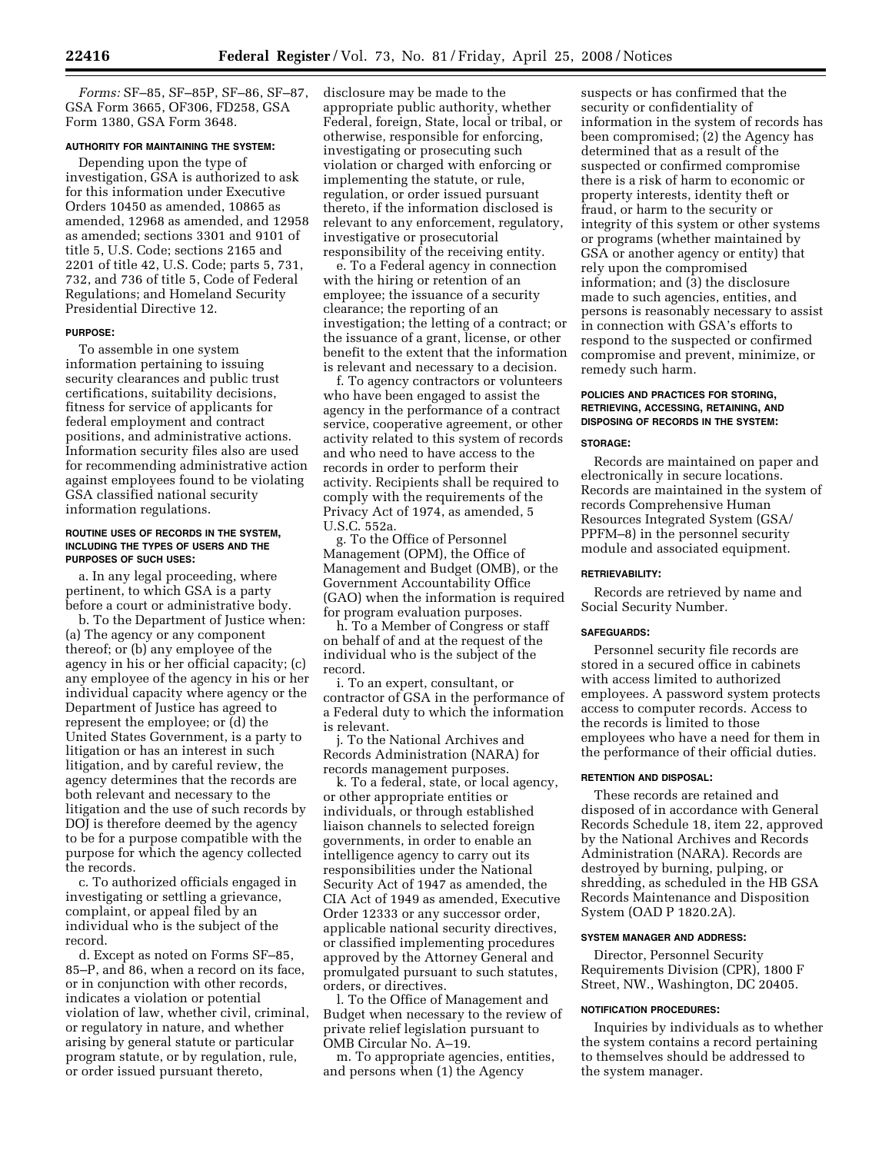*Forms:* SF–85, SF–85P, SF–86, SF–87, GSA Form 3665, OF306, FD258, GSA Form 1380, GSA Form 3648.

# **AUTHORITY FOR MAINTAINING THE SYSTEM:**

Depending upon the type of investigation, GSA is authorized to ask for this information under Executive Orders 10450 as amended, 10865 as amended, 12968 as amended, and 12958 as amended; sections 3301 and 9101 of title 5, U.S. Code; sections 2165 and 2201 of title 42, U.S. Code; parts 5, 731, 732, and 736 of title 5, Code of Federal Regulations; and Homeland Security Presidential Directive 12.

# **PURPOSE:**

To assemble in one system information pertaining to issuing security clearances and public trust certifications, suitability decisions, fitness for service of applicants for federal employment and contract positions, and administrative actions. Information security files also are used for recommending administrative action against employees found to be violating GSA classified national security information regulations.

#### **ROUTINE USES OF RECORDS IN THE SYSTEM, INCLUDING THE TYPES OF USERS AND THE PURPOSES OF SUCH USES:**

a. In any legal proceeding, where pertinent, to which GSA is a party before a court or administrative body.

b. To the Department of Justice when: (a) The agency or any component thereof; or (b) any employee of the agency in his or her official capacity; (c) any employee of the agency in his or her individual capacity where agency or the Department of Justice has agreed to represent the employee; or (d) the United States Government, is a party to litigation or has an interest in such litigation, and by careful review, the agency determines that the records are both relevant and necessary to the litigation and the use of such records by DOJ is therefore deemed by the agency to be for a purpose compatible with the purpose for which the agency collected the records.

c. To authorized officials engaged in investigating or settling a grievance, complaint, or appeal filed by an individual who is the subject of the record.

d. Except as noted on Forms SF–85, 85–P, and 86, when a record on its face, or in conjunction with other records, indicates a violation or potential violation of law, whether civil, criminal, or regulatory in nature, and whether arising by general statute or particular program statute, or by regulation, rule, or order issued pursuant thereto,

disclosure may be made to the appropriate public authority, whether Federal, foreign, State, local or tribal, or otherwise, responsible for enforcing, investigating or prosecuting such violation or charged with enforcing or implementing the statute, or rule, regulation, or order issued pursuant thereto, if the information disclosed is relevant to any enforcement, regulatory, investigative or prosecutorial responsibility of the receiving entity.

e. To a Federal agency in connection with the hiring or retention of an employee; the issuance of a security clearance; the reporting of an investigation; the letting of a contract; or the issuance of a grant, license, or other benefit to the extent that the information is relevant and necessary to a decision.

f. To agency contractors or volunteers who have been engaged to assist the agency in the performance of a contract service, cooperative agreement, or other activity related to this system of records and who need to have access to the records in order to perform their activity. Recipients shall be required to comply with the requirements of the Privacy Act of 1974, as amended, 5 U.S.C. 552a.

g. To the Office of Personnel Management (OPM), the Office of Management and Budget (OMB), or the Government Accountability Office (GAO) when the information is required for program evaluation purposes.

h. To a Member of Congress or staff on behalf of and at the request of the individual who is the subject of the record.

i. To an expert, consultant, or contractor of GSA in the performance of a Federal duty to which the information is relevant.

j. To the National Archives and Records Administration (NARA) for records management purposes.

k. To a federal, state, or local agency, or other appropriate entities or individuals, or through established liaison channels to selected foreign governments, in order to enable an intelligence agency to carry out its responsibilities under the National Security Act of 1947 as amended, the CIA Act of 1949 as amended, Executive Order 12333 or any successor order, applicable national security directives, or classified implementing procedures approved by the Attorney General and promulgated pursuant to such statutes, orders, or directives.

l. To the Office of Management and Budget when necessary to the review of private relief legislation pursuant to OMB Circular No. A–19.

m. To appropriate agencies, entities, and persons when (1) the Agency

suspects or has confirmed that the security or confidentiality of information in the system of records has been compromised; (2) the Agency has determined that as a result of the suspected or confirmed compromise there is a risk of harm to economic or property interests, identity theft or fraud, or harm to the security or integrity of this system or other systems or programs (whether maintained by GSA or another agency or entity) that rely upon the compromised information; and (3) the disclosure made to such agencies, entities, and persons is reasonably necessary to assist in connection with GSA's efforts to respond to the suspected or confirmed compromise and prevent, minimize, or remedy such harm.

## **POLICIES AND PRACTICES FOR STORING, RETRIEVING, ACCESSING, RETAINING, AND DISPOSING OF RECORDS IN THE SYSTEM:**

# **STORAGE:**

Records are maintained on paper and electronically in secure locations. Records are maintained in the system of records Comprehensive Human Resources Integrated System (GSA/ PPFM–8) in the personnel security module and associated equipment.

# **RETRIEVABILITY:**

Records are retrieved by name and Social Security Number.

## **SAFEGUARDS:**

Personnel security file records are stored in a secured office in cabinets with access limited to authorized employees. A password system protects access to computer records. Access to the records is limited to those employees who have a need for them in the performance of their official duties.

#### **RETENTION AND DISPOSAL:**

These records are retained and disposed of in accordance with General Records Schedule 18, item 22, approved by the National Archives and Records Administration (NARA). Records are destroyed by burning, pulping, or shredding, as scheduled in the HB GSA Records Maintenance and Disposition System (OAD P 1820.2A).

# **SYSTEM MANAGER AND ADDRESS:**

Director, Personnel Security Requirements Division (CPR), 1800 F Street, NW., Washington, DC 20405.

#### **NOTIFICATION PROCEDURES:**

Inquiries by individuals as to whether the system contains a record pertaining to themselves should be addressed to the system manager.